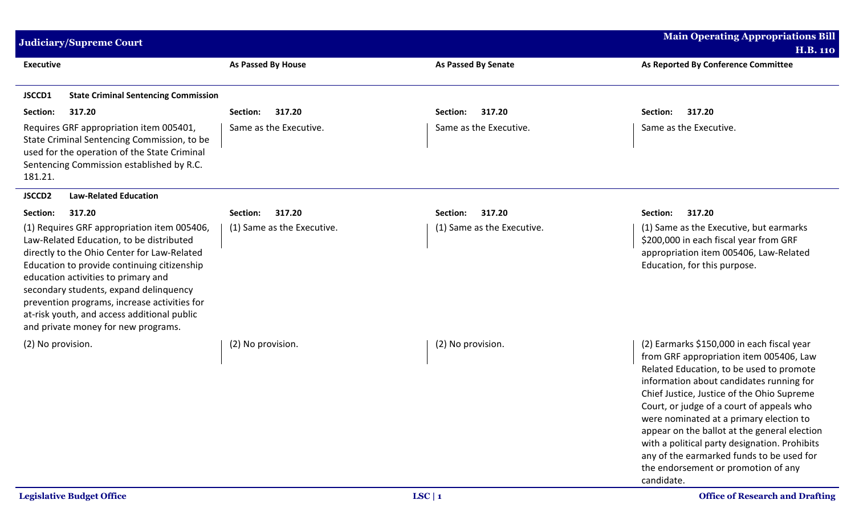| <b>Judiciary/Supreme Court</b>                                                                                                                                                                                                                                                                                                                                                                               |                            |                            | <b>Main Operating Appropriations Bill</b>                                                                                                                                                                                                                                                                                                                                                                                                                                                                              |
|--------------------------------------------------------------------------------------------------------------------------------------------------------------------------------------------------------------------------------------------------------------------------------------------------------------------------------------------------------------------------------------------------------------|----------------------------|----------------------------|------------------------------------------------------------------------------------------------------------------------------------------------------------------------------------------------------------------------------------------------------------------------------------------------------------------------------------------------------------------------------------------------------------------------------------------------------------------------------------------------------------------------|
| <b>Executive</b>                                                                                                                                                                                                                                                                                                                                                                                             | <b>As Passed By House</b>  | <b>As Passed By Senate</b> | <b>H.B. 110</b><br>As Reported By Conference Committee                                                                                                                                                                                                                                                                                                                                                                                                                                                                 |
| JSCCD1<br><b>State Criminal Sentencing Commission</b>                                                                                                                                                                                                                                                                                                                                                        |                            |                            |                                                                                                                                                                                                                                                                                                                                                                                                                                                                                                                        |
| 317.20<br>Section:                                                                                                                                                                                                                                                                                                                                                                                           | Section:<br>317.20         | 317.20<br>Section:         | 317.20<br>Section:                                                                                                                                                                                                                                                                                                                                                                                                                                                                                                     |
| Requires GRF appropriation item 005401,<br>State Criminal Sentencing Commission, to be<br>used for the operation of the State Criminal<br>Sentencing Commission established by R.C.<br>181.21.                                                                                                                                                                                                               | Same as the Executive.     | Same as the Executive.     | Same as the Executive.                                                                                                                                                                                                                                                                                                                                                                                                                                                                                                 |
| JSCCD2<br><b>Law-Related Education</b>                                                                                                                                                                                                                                                                                                                                                                       |                            |                            |                                                                                                                                                                                                                                                                                                                                                                                                                                                                                                                        |
| 317.20<br>Section:                                                                                                                                                                                                                                                                                                                                                                                           | 317.20<br>Section:         | 317.20<br>Section:         | 317.20<br>Section:                                                                                                                                                                                                                                                                                                                                                                                                                                                                                                     |
| (1) Requires GRF appropriation item 005406,<br>Law-Related Education, to be distributed<br>directly to the Ohio Center for Law-Related<br>Education to provide continuing citizenship<br>education activities to primary and<br>secondary students, expand delinquency<br>prevention programs, increase activities for<br>at-risk youth, and access additional public<br>and private money for new programs. | (1) Same as the Executive. | (1) Same as the Executive. | (1) Same as the Executive, but earmarks<br>\$200,000 in each fiscal year from GRF<br>appropriation item 005406, Law-Related<br>Education, for this purpose.                                                                                                                                                                                                                                                                                                                                                            |
| (2) No provision.                                                                                                                                                                                                                                                                                                                                                                                            | (2) No provision.          | (2) No provision.          | (2) Earmarks \$150,000 in each fiscal year<br>from GRF appropriation item 005406, Law<br>Related Education, to be used to promote<br>information about candidates running for<br>Chief Justice, Justice of the Ohio Supreme<br>Court, or judge of a court of appeals who<br>were nominated at a primary election to<br>appear on the ballot at the general election<br>with a political party designation. Prohibits<br>any of the earmarked funds to be used for<br>the endorsement or promotion of any<br>candidate. |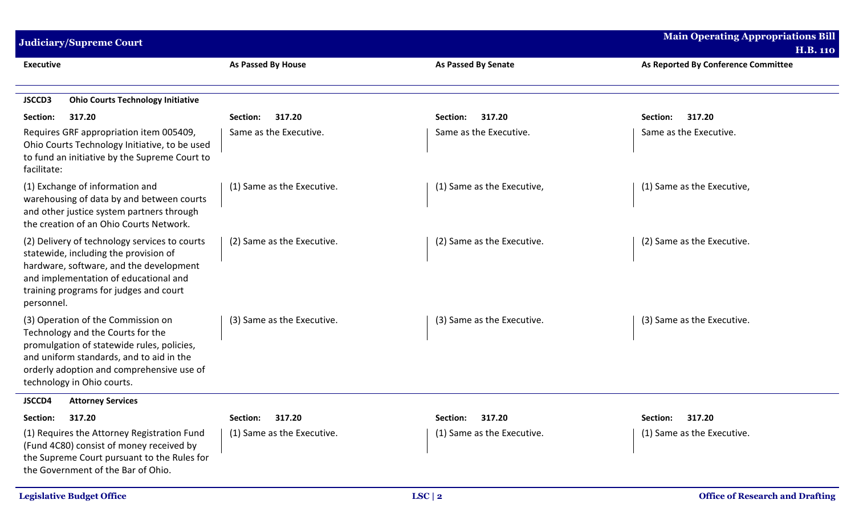| <b>Judiciary/Supreme Court</b>                                                                                                                                                                                                               |                            |                            | <b>Main Operating Appropriations Bill</b><br><b>H.B. 110</b> |
|----------------------------------------------------------------------------------------------------------------------------------------------------------------------------------------------------------------------------------------------|----------------------------|----------------------------|--------------------------------------------------------------|
| <b>Executive</b>                                                                                                                                                                                                                             | <b>As Passed By House</b>  | <b>As Passed By Senate</b> | As Reported By Conference Committee                          |
| <b>Ohio Courts Technology Initiative</b><br><b>JSCCD3</b>                                                                                                                                                                                    |                            |                            |                                                              |
| Section:<br>317.20                                                                                                                                                                                                                           | 317.20<br>Section:         | 317.20<br>Section:         | 317.20<br>Section:                                           |
| Requires GRF appropriation item 005409,<br>Ohio Courts Technology Initiative, to be used<br>to fund an initiative by the Supreme Court to<br>facilitate:                                                                                     | Same as the Executive.     | Same as the Executive.     | Same as the Executive.                                       |
| (1) Exchange of information and<br>warehousing of data by and between courts<br>and other justice system partners through<br>the creation of an Ohio Courts Network.                                                                         | (1) Same as the Executive. | (1) Same as the Executive, | (1) Same as the Executive,                                   |
| (2) Delivery of technology services to courts<br>statewide, including the provision of<br>hardware, software, and the development<br>and implementation of educational and<br>training programs for judges and court<br>personnel.           | (2) Same as the Executive. | (2) Same as the Executive. | (2) Same as the Executive.                                   |
| (3) Operation of the Commission on<br>Technology and the Courts for the<br>promulgation of statewide rules, policies,<br>and uniform standards, and to aid in the<br>orderly adoption and comprehensive use of<br>technology in Ohio courts. | (3) Same as the Executive. | (3) Same as the Executive. | (3) Same as the Executive.                                   |
| JSCCD4<br><b>Attorney Services</b>                                                                                                                                                                                                           |                            |                            |                                                              |
| 317.20<br>Section:                                                                                                                                                                                                                           | Section: 317.20            | Section: 317.20            | Section: 317.20                                              |
| (1) Requires the Attorney Registration Fund<br>(Fund 4C80) consist of money received by<br>the Supreme Court pursuant to the Rules for<br>the Government of the Bar of Ohio.                                                                 | (1) Same as the Executive. | (1) Same as the Executive. | (1) Same as the Executive.                                   |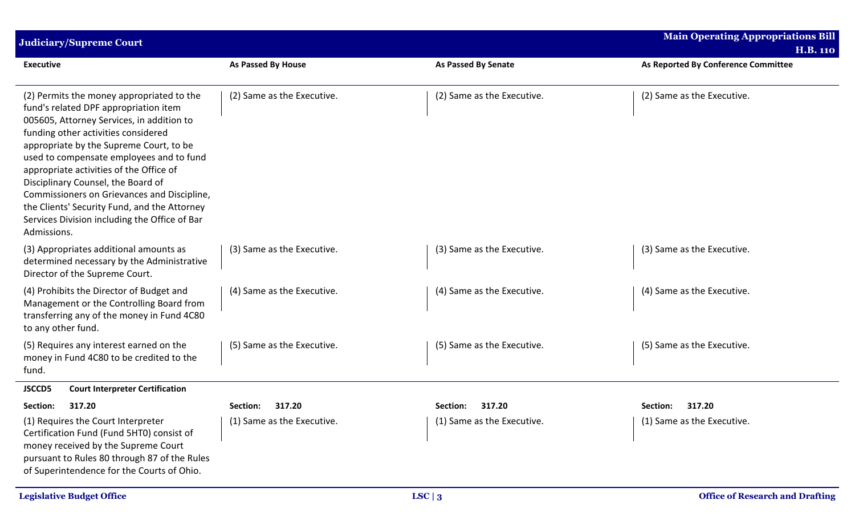| <b>Judiciary/Supreme Court</b>                                                                                                                                                                                                                                                                                                                                                                                                                                                                                |                            |                            | <b>Main Operating Appropriations Bill</b><br><b>H.B. 110</b> |
|---------------------------------------------------------------------------------------------------------------------------------------------------------------------------------------------------------------------------------------------------------------------------------------------------------------------------------------------------------------------------------------------------------------------------------------------------------------------------------------------------------------|----------------------------|----------------------------|--------------------------------------------------------------|
| <b>Executive</b>                                                                                                                                                                                                                                                                                                                                                                                                                                                                                              | <b>As Passed By House</b>  | <b>As Passed By Senate</b> | As Reported By Conference Committee                          |
| (2) Permits the money appropriated to the<br>fund's related DPF appropriation item<br>005605, Attorney Services, in addition to<br>funding other activities considered<br>appropriate by the Supreme Court, to be<br>used to compensate employees and to fund<br>appropriate activities of the Office of<br>Disciplinary Counsel, the Board of<br>Commissioners on Grievances and Discipline,<br>the Clients' Security Fund, and the Attorney<br>Services Division including the Office of Bar<br>Admissions. | (2) Same as the Executive. | (2) Same as the Executive. | (2) Same as the Executive.                                   |
| (3) Appropriates additional amounts as<br>determined necessary by the Administrative<br>Director of the Supreme Court.                                                                                                                                                                                                                                                                                                                                                                                        | (3) Same as the Executive. | (3) Same as the Executive. | (3) Same as the Executive.                                   |
| (4) Prohibits the Director of Budget and<br>Management or the Controlling Board from<br>transferring any of the money in Fund 4C80<br>to any other fund.                                                                                                                                                                                                                                                                                                                                                      | (4) Same as the Executive. | (4) Same as the Executive. | (4) Same as the Executive.                                   |
| (5) Requires any interest earned on the<br>money in Fund 4C80 to be credited to the<br>fund.                                                                                                                                                                                                                                                                                                                                                                                                                  | (5) Same as the Executive. | (5) Same as the Executive. | (5) Same as the Executive.                                   |
| <b>JSCCD5</b><br><b>Court Interpreter Certification</b>                                                                                                                                                                                                                                                                                                                                                                                                                                                       |                            |                            |                                                              |
| 317.20<br>Section:                                                                                                                                                                                                                                                                                                                                                                                                                                                                                            | 317.20<br>Section:         | 317.20<br>Section:         | 317.20<br>Section:                                           |
| (1) Requires the Court Interpreter<br>Certification Fund (Fund 5HT0) consist of<br>money received by the Supreme Court<br>pursuant to Rules 80 through 87 of the Rules<br>of Superintendence for the Courts of Ohio.                                                                                                                                                                                                                                                                                          | (1) Same as the Executive. | (1) Same as the Executive. | (1) Same as the Executive.                                   |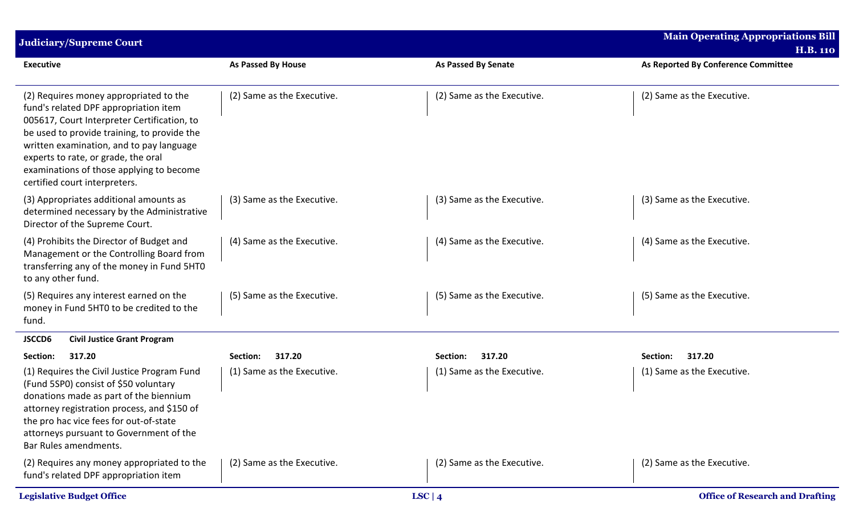| <b>Judiciary/Supreme Court</b>                                                                                                                                                                                                                                                                                                                |                            |                            | <b>Main Operating Appropriations Bill</b> |
|-----------------------------------------------------------------------------------------------------------------------------------------------------------------------------------------------------------------------------------------------------------------------------------------------------------------------------------------------|----------------------------|----------------------------|-------------------------------------------|
|                                                                                                                                                                                                                                                                                                                                               |                            |                            | <b>H.B. 110</b>                           |
| <b>Executive</b>                                                                                                                                                                                                                                                                                                                              | <b>As Passed By House</b>  | <b>As Passed By Senate</b> | As Reported By Conference Committee       |
| (2) Requires money appropriated to the<br>fund's related DPF appropriation item<br>005617, Court Interpreter Certification, to<br>be used to provide training, to provide the<br>written examination, and to pay language<br>experts to rate, or grade, the oral<br>examinations of those applying to become<br>certified court interpreters. | (2) Same as the Executive. | (2) Same as the Executive. | (2) Same as the Executive.                |
| (3) Appropriates additional amounts as<br>determined necessary by the Administrative<br>Director of the Supreme Court.                                                                                                                                                                                                                        | (3) Same as the Executive. | (3) Same as the Executive. | (3) Same as the Executive.                |
| (4) Prohibits the Director of Budget and<br>Management or the Controlling Board from<br>transferring any of the money in Fund 5HT0<br>to any other fund.                                                                                                                                                                                      | (4) Same as the Executive. | (4) Same as the Executive. | (4) Same as the Executive.                |
| (5) Requires any interest earned on the<br>money in Fund 5HT0 to be credited to the<br>fund.                                                                                                                                                                                                                                                  | (5) Same as the Executive. | (5) Same as the Executive. | (5) Same as the Executive.                |
| JSCCD6<br><b>Civil Justice Grant Program</b>                                                                                                                                                                                                                                                                                                  |                            |                            |                                           |
| Section:<br>317.20                                                                                                                                                                                                                                                                                                                            | 317.20<br>Section:         | 317.20<br>Section:         | 317.20<br>Section:                        |
| (1) Requires the Civil Justice Program Fund<br>(Fund 5SP0) consist of \$50 voluntary<br>donations made as part of the biennium<br>attorney registration process, and \$150 of<br>the pro hac vice fees for out-of-state<br>attorneys pursuant to Government of the<br>Bar Rules amendments.                                                   | (1) Same as the Executive. | (1) Same as the Executive. | (1) Same as the Executive.                |
| (2) Requires any money appropriated to the<br>fund's related DPF appropriation item                                                                                                                                                                                                                                                           | (2) Same as the Executive. | (2) Same as the Executive. | (2) Same as the Executive.                |
| <b>Legislative Budget Office</b>                                                                                                                                                                                                                                                                                                              |                            | LSC   $4$                  | <b>Office of Research and Drafting</b>    |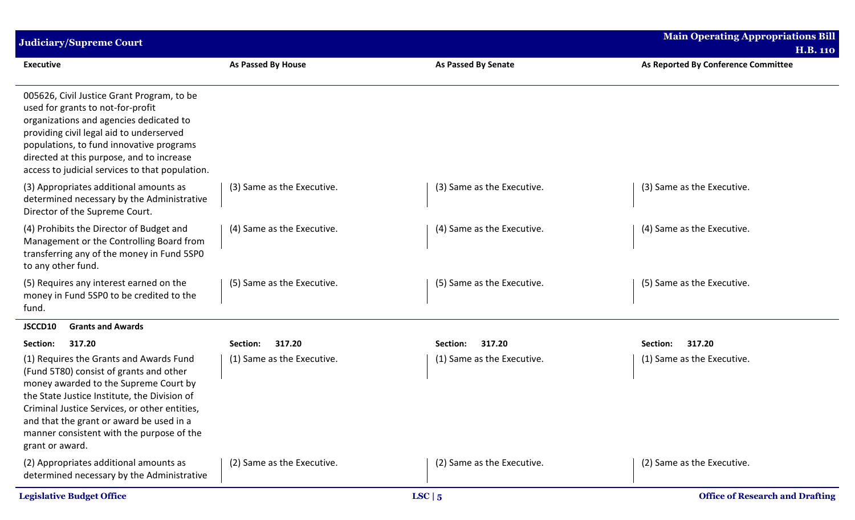| <b>Judiciary/Supreme Court</b>                                                                                                                                                                                                                                                                                                           |                            |                            | <b>Main Operating Appropriations Bill</b> |
|------------------------------------------------------------------------------------------------------------------------------------------------------------------------------------------------------------------------------------------------------------------------------------------------------------------------------------------|----------------------------|----------------------------|-------------------------------------------|
|                                                                                                                                                                                                                                                                                                                                          |                            |                            | <b>H.B. 110</b>                           |
| <b>Executive</b>                                                                                                                                                                                                                                                                                                                         | <b>As Passed By House</b>  | <b>As Passed By Senate</b> | As Reported By Conference Committee       |
| 005626, Civil Justice Grant Program, to be<br>used for grants to not-for-profit<br>organizations and agencies dedicated to<br>providing civil legal aid to underserved<br>populations, to fund innovative programs<br>directed at this purpose, and to increase<br>access to judicial services to that population.                       |                            |                            |                                           |
| (3) Appropriates additional amounts as<br>determined necessary by the Administrative<br>Director of the Supreme Court.                                                                                                                                                                                                                   | (3) Same as the Executive. | (3) Same as the Executive. | (3) Same as the Executive.                |
| (4) Prohibits the Director of Budget and<br>Management or the Controlling Board from<br>transferring any of the money in Fund 5SP0<br>to any other fund.                                                                                                                                                                                 | (4) Same as the Executive. | (4) Same as the Executive. | (4) Same as the Executive.                |
| (5) Requires any interest earned on the<br>money in Fund 5SP0 to be credited to the<br>fund.                                                                                                                                                                                                                                             | (5) Same as the Executive. | (5) Same as the Executive. | (5) Same as the Executive.                |
| <b>Grants and Awards</b><br>JSCCD10                                                                                                                                                                                                                                                                                                      |                            |                            |                                           |
| Section:<br>317.20                                                                                                                                                                                                                                                                                                                       | 317.20<br>Section:         | 317.20<br>Section:         | 317.20<br>Section:                        |
| (1) Requires the Grants and Awards Fund<br>(Fund 5T80) consist of grants and other<br>money awarded to the Supreme Court by<br>the State Justice Institute, the Division of<br>Criminal Justice Services, or other entities,<br>and that the grant or award be used in a<br>manner consistent with the purpose of the<br>grant or award. | (1) Same as the Executive. | (1) Same as the Executive. | (1) Same as the Executive.                |
| (2) Appropriates additional amounts as<br>determined necessary by the Administrative                                                                                                                                                                                                                                                     | (2) Same as the Executive. | (2) Same as the Executive. | (2) Same as the Executive.                |
| <b>Legislative Budget Office</b>                                                                                                                                                                                                                                                                                                         |                            | LSC   5                    | <b>Office of Research and Drafting</b>    |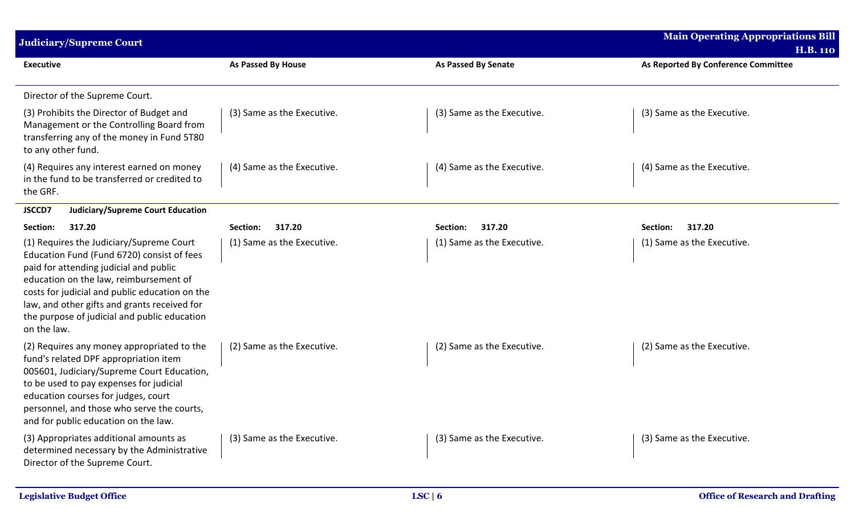| <b>Judiciary/Supreme Court</b>                                                                                                                                                                                                                                                                                                              |                            |                            | <b>Main Operating Appropriations Bill</b><br><b>H.B. 110</b> |
|---------------------------------------------------------------------------------------------------------------------------------------------------------------------------------------------------------------------------------------------------------------------------------------------------------------------------------------------|----------------------------|----------------------------|--------------------------------------------------------------|
| <b>Executive</b>                                                                                                                                                                                                                                                                                                                            | As Passed By House         | <b>As Passed By Senate</b> | As Reported By Conference Committee                          |
| Director of the Supreme Court.                                                                                                                                                                                                                                                                                                              |                            |                            |                                                              |
| (3) Prohibits the Director of Budget and<br>Management or the Controlling Board from<br>transferring any of the money in Fund 5T80<br>to any other fund.                                                                                                                                                                                    | (3) Same as the Executive. | (3) Same as the Executive. | (3) Same as the Executive.                                   |
| (4) Requires any interest earned on money<br>in the fund to be transferred or credited to<br>the GRF.                                                                                                                                                                                                                                       | (4) Same as the Executive. | (4) Same as the Executive. | (4) Same as the Executive.                                   |
| <b>Judiciary/Supreme Court Education</b><br>JSCCD7                                                                                                                                                                                                                                                                                          |                            |                            |                                                              |
| 317.20<br>Section:                                                                                                                                                                                                                                                                                                                          | 317.20<br>Section:         | 317.20<br>Section:         | 317.20<br>Section:                                           |
| (1) Requires the Judiciary/Supreme Court<br>Education Fund (Fund 6720) consist of fees<br>paid for attending judicial and public<br>education on the law, reimbursement of<br>costs for judicial and public education on the<br>law, and other gifts and grants received for<br>the purpose of judicial and public education<br>on the law. | (1) Same as the Executive. | (1) Same as the Executive. | (1) Same as the Executive.                                   |
| (2) Requires any money appropriated to the<br>fund's related DPF appropriation item<br>005601, Judiciary/Supreme Court Education,<br>to be used to pay expenses for judicial<br>education courses for judges, court<br>personnel, and those who serve the courts,<br>and for public education on the law.                                   | (2) Same as the Executive. | (2) Same as the Executive. | (2) Same as the Executive.                                   |
| (3) Appropriates additional amounts as<br>determined necessary by the Administrative<br>Director of the Supreme Court.                                                                                                                                                                                                                      | (3) Same as the Executive. | (3) Same as the Executive. | (3) Same as the Executive.                                   |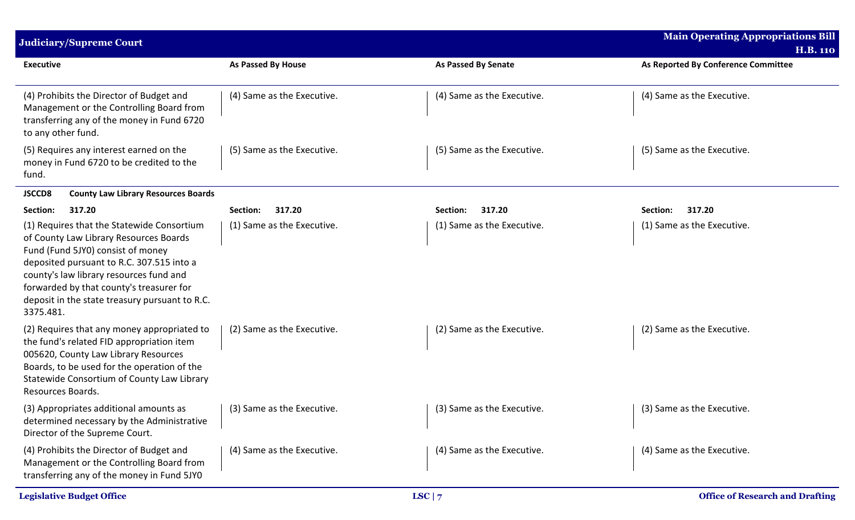| <b>Judiciary/Supreme Court</b>                                                                                                                                                                                                                                                                                               |                            |                            | <b>Main Operating Appropriations Bill</b>              |
|------------------------------------------------------------------------------------------------------------------------------------------------------------------------------------------------------------------------------------------------------------------------------------------------------------------------------|----------------------------|----------------------------|--------------------------------------------------------|
| <b>Executive</b>                                                                                                                                                                                                                                                                                                             | <b>As Passed By House</b>  | As Passed By Senate        | <b>H.B. 110</b><br>As Reported By Conference Committee |
| (4) Prohibits the Director of Budget and<br>Management or the Controlling Board from<br>transferring any of the money in Fund 6720<br>to any other fund.                                                                                                                                                                     | (4) Same as the Executive. | (4) Same as the Executive. | (4) Same as the Executive.                             |
| (5) Requires any interest earned on the<br>money in Fund 6720 to be credited to the<br>fund.                                                                                                                                                                                                                                 | (5) Same as the Executive. | (5) Same as the Executive. | (5) Same as the Executive.                             |
| <b>County Law Library Resources Boards</b><br>JSCCD8                                                                                                                                                                                                                                                                         |                            |                            |                                                        |
| 317.20<br>Section:                                                                                                                                                                                                                                                                                                           | 317.20<br>Section:         | 317.20<br>Section:         | 317.20<br>Section:                                     |
| (1) Requires that the Statewide Consortium<br>of County Law Library Resources Boards<br>Fund (Fund 5JY0) consist of money<br>deposited pursuant to R.C. 307.515 into a<br>county's law library resources fund and<br>forwarded by that county's treasurer for<br>deposit in the state treasury pursuant to R.C.<br>3375.481. | (1) Same as the Executive. | (1) Same as the Executive. | (1) Same as the Executive.                             |
| (2) Requires that any money appropriated to<br>the fund's related FID appropriation item<br>005620, County Law Library Resources<br>Boards, to be used for the operation of the<br>Statewide Consortium of County Law Library<br>Resources Boards.                                                                           | (2) Same as the Executive. | (2) Same as the Executive. | (2) Same as the Executive.                             |
| (3) Appropriates additional amounts as<br>determined necessary by the Administrative<br>Director of the Supreme Court.                                                                                                                                                                                                       | (3) Same as the Executive. | (3) Same as the Executive. | (3) Same as the Executive.                             |
| (4) Prohibits the Director of Budget and<br>Management or the Controlling Board from<br>transferring any of the money in Fund 5JY0                                                                                                                                                                                           | (4) Same as the Executive. | (4) Same as the Executive. | (4) Same as the Executive.                             |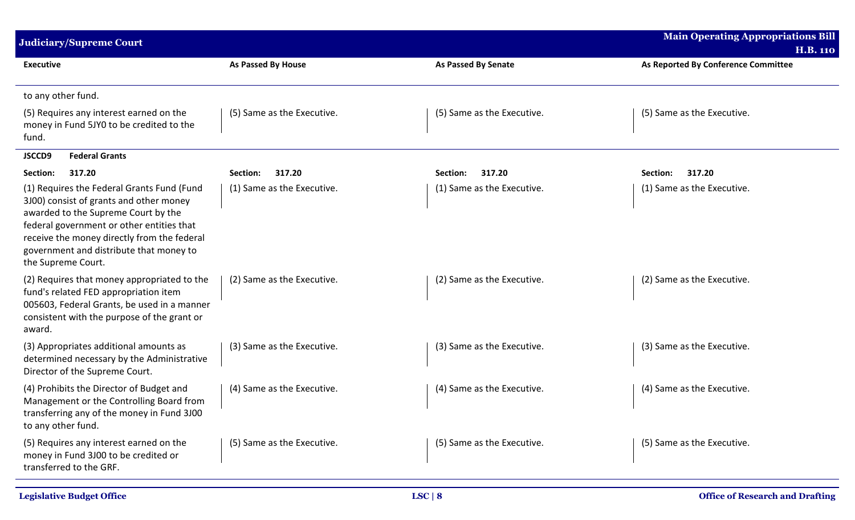| <b>Judiciary/Supreme Court</b>                                                                                                                                                                                                                                                            |                            |                            | <b>Main Operating Appropriations Bill</b> |
|-------------------------------------------------------------------------------------------------------------------------------------------------------------------------------------------------------------------------------------------------------------------------------------------|----------------------------|----------------------------|-------------------------------------------|
|                                                                                                                                                                                                                                                                                           |                            |                            | <b>H.B. 110</b>                           |
| <b>Executive</b>                                                                                                                                                                                                                                                                          | As Passed By House         | <b>As Passed By Senate</b> | As Reported By Conference Committee       |
| to any other fund.                                                                                                                                                                                                                                                                        |                            |                            |                                           |
| (5) Requires any interest earned on the<br>money in Fund 5JY0 to be credited to the<br>fund.                                                                                                                                                                                              | (5) Same as the Executive. | (5) Same as the Executive. | (5) Same as the Executive.                |
| <b>Federal Grants</b><br>JSCCD9                                                                                                                                                                                                                                                           |                            |                            |                                           |
| 317.20<br>Section:                                                                                                                                                                                                                                                                        | 317.20<br>Section:         | 317.20<br>Section:         | 317.20<br>Section:                        |
| (1) Requires the Federal Grants Fund (Fund<br>3J00) consist of grants and other money<br>awarded to the Supreme Court by the<br>federal government or other entities that<br>receive the money directly from the federal<br>government and distribute that money to<br>the Supreme Court. | (1) Same as the Executive. | (1) Same as the Executive. | (1) Same as the Executive.                |
| (2) Requires that money appropriated to the<br>fund's related FED appropriation item<br>005603, Federal Grants, be used in a manner<br>consistent with the purpose of the grant or<br>award.                                                                                              | (2) Same as the Executive. | (2) Same as the Executive. | (2) Same as the Executive.                |
| (3) Appropriates additional amounts as<br>determined necessary by the Administrative<br>Director of the Supreme Court.                                                                                                                                                                    | (3) Same as the Executive. | (3) Same as the Executive. | (3) Same as the Executive.                |
| (4) Prohibits the Director of Budget and<br>Management or the Controlling Board from<br>transferring any of the money in Fund 3J00<br>to any other fund.                                                                                                                                  | (4) Same as the Executive. | (4) Same as the Executive. | (4) Same as the Executive.                |
| (5) Requires any interest earned on the<br>money in Fund 3J00 to be credited or<br>transferred to the GRF.                                                                                                                                                                                | (5) Same as the Executive. | (5) Same as the Executive. | (5) Same as the Executive.                |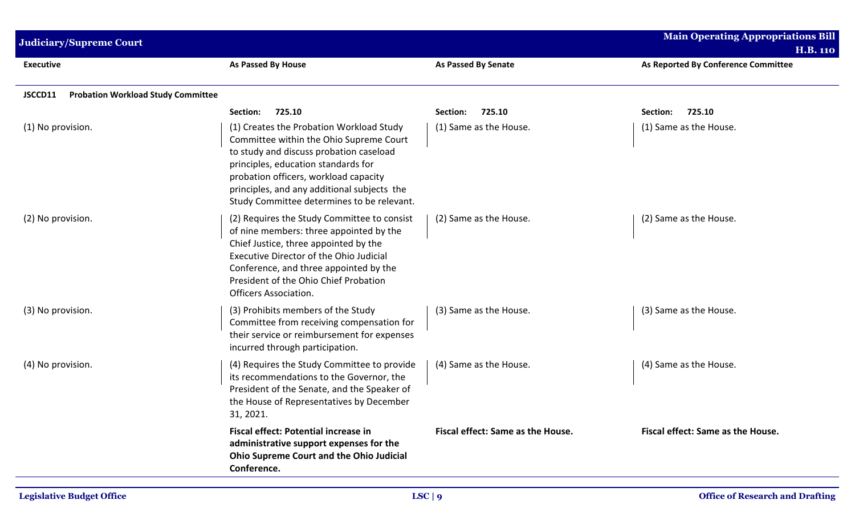| <b>Judiciary/Supreme Court</b>                       |                                                                                                                                                                                                                                                                                                             |                                   | <b>Main Operating Appropriations Bill</b><br><b>H.B. 110</b> |
|------------------------------------------------------|-------------------------------------------------------------------------------------------------------------------------------------------------------------------------------------------------------------------------------------------------------------------------------------------------------------|-----------------------------------|--------------------------------------------------------------|
| <b>Executive</b>                                     | <b>As Passed By House</b>                                                                                                                                                                                                                                                                                   | <b>As Passed By Senate</b>        | As Reported By Conference Committee                          |
| <b>Probation Workload Study Committee</b><br>JSCCD11 |                                                                                                                                                                                                                                                                                                             |                                   |                                                              |
|                                                      | 725.10<br>Section:                                                                                                                                                                                                                                                                                          | 725.10<br>Section:                | 725.10<br>Section:                                           |
| (1) No provision.                                    | (1) Creates the Probation Workload Study<br>Committee within the Ohio Supreme Court<br>to study and discuss probation caseload<br>principles, education standards for<br>probation officers, workload capacity<br>principles, and any additional subjects the<br>Study Committee determines to be relevant. | (1) Same as the House.            | (1) Same as the House.                                       |
| (2) No provision.                                    | (2) Requires the Study Committee to consist<br>of nine members: three appointed by the<br>Chief Justice, three appointed by the<br>Executive Director of the Ohio Judicial<br>Conference, and three appointed by the<br>President of the Ohio Chief Probation<br><b>Officers Association.</b>               | (2) Same as the House.            | (2) Same as the House.                                       |
| (3) No provision.                                    | (3) Prohibits members of the Study<br>Committee from receiving compensation for<br>their service or reimbursement for expenses<br>incurred through participation.                                                                                                                                           | (3) Same as the House.            | (3) Same as the House.                                       |
| (4) No provision.                                    | (4) Requires the Study Committee to provide<br>its recommendations to the Governor, the<br>President of the Senate, and the Speaker of<br>the House of Representatives by December<br>31, 2021.                                                                                                             | (4) Same as the House.            | (4) Same as the House.                                       |
|                                                      | <b>Fiscal effect: Potential increase in</b><br>administrative support expenses for the<br><b>Ohio Supreme Court and the Ohio Judicial</b><br>Conference.                                                                                                                                                    | Fiscal effect: Same as the House. | Fiscal effect: Same as the House.                            |